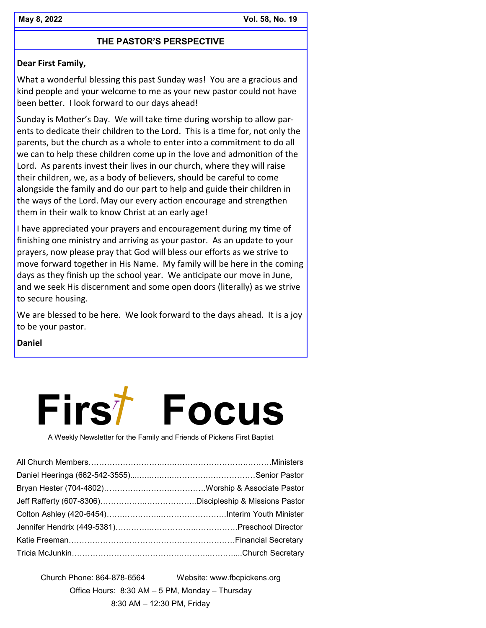# **THE PASTOR'S PERSPECTIVE**

# **Dear First Family,**

What a wonderful blessing this past Sunday was! You are a gracious and kind people and your welcome to me as your new pastor could not have been better. I look forward to our days ahead!

Sunday is Mother's Day. We will take time during worship to allow parents to dedicate their children to the Lord. This is a time for, not only the parents, but the church as a whole to enter into a commitment to do all we can to help these children come up in the love and admonition of the Lord. As parents invest their lives in our church, where they will raise their children, we, as a body of believers, should be careful to come alongside the family and do our part to help and guide their children in the ways of the Lord. May our every action encourage and strengthen them in their walk to know Christ at an early age!

I have appreciated your prayers and encouragement during my time of finishing one ministry and arriving as your pastor. As an update to your prayers, now please pray that God will bless our efforts as we strive to move forward together in His Name. My family will be here in the coming days as they finish up the school year. We anticipate our move in June, and we seek His discernment and some open doors (literally) as we strive to secure housing.

We are blessed to be here. We look forward to the days ahead. It is a joy to be your pastor.

**Daniel** 



A Weekly Newsletter for the Family and Friends of Pickens First Baptist

Church Phone: 864-878-6564 Website: www.fbcpickens.org Office Hours: 8:30 AM – 5 PM, Monday – Thursday 8:30 AM – 12:30 PM, Friday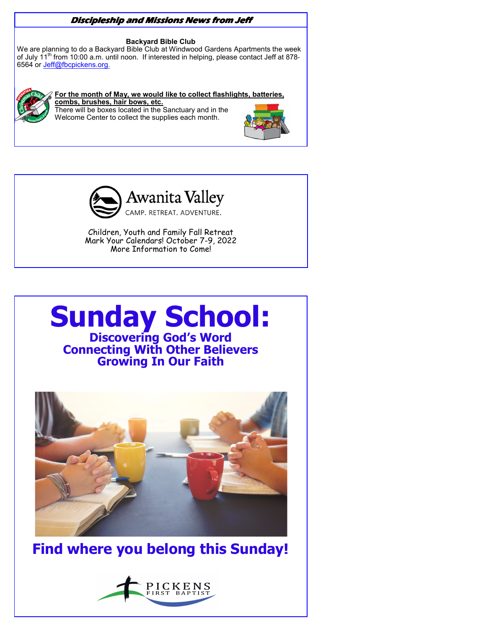# **Discipleship and Missions News from Jeff**

#### **Backyard Bible Club**

We are planning to do a Backyard Bible Club at Windwood Gardens Apartments the week of July 11<sup>th</sup> from 10:00 a.m. until noon. If interested in helping, please contact Jeff at 878-6564 or Jeff@fbcpickens.org.



#### **For the month of May, we would like to collect flashlights, batteries,**

**combs, brushes, hair bows, etc.**  There will be boxes located in the Sanctuary and in the Welcome Center to collect the supplies each month.





Children, Youth and Family Fall Retreat Mark Your Calendars! October 7-9, 2022 More Information to Come!





**Find where you belong this Sunday!** 

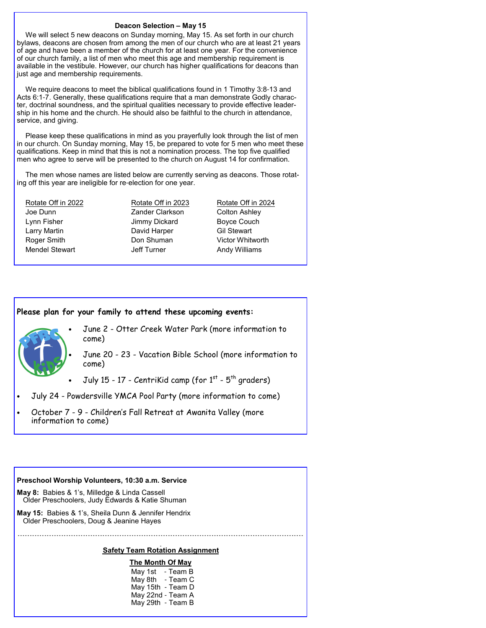#### **Deacon Selection – May 15**

We will select 5 new deacons on Sunday morning, May 15. As set forth in our church bylaws, deacons are chosen from among the men of our church who are at least 21 years of age and have been a member of the church for at least one year. For the convenience of our church family, a list of men who meet this age and membership requirement is available in the vestibule. However, our church has higher qualifications for deacons than just age and membership requirements.

We require deacons to meet the biblical qualifications found in 1 Timothy 3:8-13 and Acts 6:1-7. Generally, these qualifications require that a man demonstrate Godly character, doctrinal soundness, and the spiritual qualities necessary to provide effective leadership in his home and the church. He should also be faithful to the church in attendance, service, and giving.

Please keep these qualifications in mind as you prayerfully look through the list of men in our church. On Sunday morning, May 15, be prepared to vote for 5 men who meet these qualifications. Keep in mind that this is not a nomination process. The top five qualified men who agree to serve will be presented to the church on August 14 for confirmation.

The men whose names are listed below are currently serving as deacons. Those rotating off this year are ineligible for re-election for one year.

Joe Dunn Zander Clarkson Colton Ashley Lynn Fisher **Internal Studies Couch** Jimmy Dickard Boyce Couch Larry Martin **David Harper** Gil Stewart Roger Smith **Don Shuman** Victor Whitworth Mendel Stewart **Jeff Turner** Andy Williams

Rotate Off in 2022 Rotate Off in 2023 Rotate Off in 2024

#### **Please plan for your family to attend these upcoming events:**

- June 2 Otter Creek Water Park (more information to come)
	- June 20 23 Vacation Bible School (more information to come)
- July 15 17 CentriKid camp (for  $1<sup>st</sup>$   $5<sup>th</sup>$  graders)
- July 24 Powdersville YMCA Pool Party (more information to come)
- October 7 9 Children's Fall Retreat at Awanita Valley (more information to come)

#### **Preschool Worship Volunteers, 10:30 a.m. Service**

- **May 8:** Babies & 1's, Milledge & Linda Cassell Older Preschoolers, Judy Edwards & Katie Shuman
- **May 15:** Babies & 1's, Sheila Dunn & Jennifer Hendrix Older Preschoolers, Doug & Jeanine Hayes

# **- - - - - - - - - - - - - - - - - - - - - - - - - - - - - - - - - - - - - - - - - - - - - - - - - - - - - - - - - - - - - - - - - - - - - - - - - - - - - - - - - - - - - - - - - - - - - - - - - - - - - - - - - - - - - - - - - - - - - - Safety Team Rotation Assignment**

**The Month Of May** May 1st - Team B May 8th - Team C May 15th - Team D May 22nd - Team A May 29th - Team B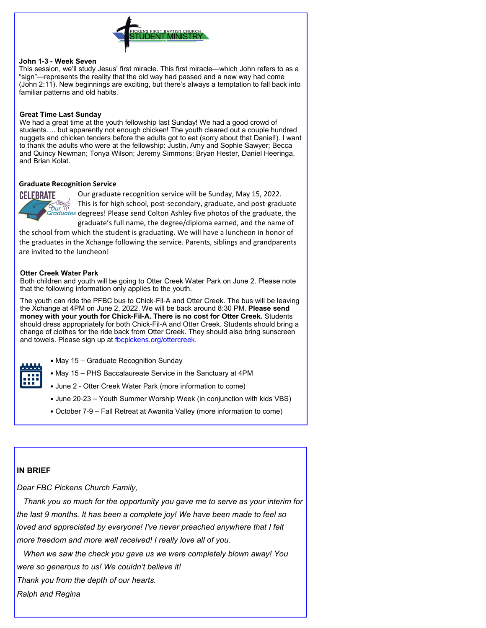

#### **John 1-3 - Week Seven**

This session, we'll study Jesus' first miracle. This first miracle—which John refers to as a "sign"—represents the reality that the old way had passed and a new way had come (John 2:11). New beginnings are exciting, but there's always a temptation to fall back into familiar patterns and old habits.

#### **Great Time Last Sunday**

We had a great time at the youth fellowship last Sunday! We had a good crowd of students…. but apparently not enough chicken! The youth cleared out a couple hundred nuggets and chicken tenders before the adults got to eat (sorry about that Daniel!). I want to thank the adults who were at the fellowship: Justin, Amy and Sophie Sawyer; Becca and Quincy Newman; Tonya Wilson; Jeremy Simmons; Bryan Hester, Daniel Heeringa, and Brian Kolat.

#### **Graduate Recognition Service**



Our graduate recognition service will be Sunday, May 15, 2022. This is for high school, post-secondary, graduate, and post-graduate degrees! Please send Colton Ashley five photos of the graduate, the graduate's full name, the degree/diploma earned, and the name of

the school from which the student is graduating. We will have a luncheon in honor of the graduates in the Xchange following the service. Parents, siblings and grandparents are invited to the luncheon!

#### **Otter Creek Water Park**

Both children and youth will be going to Otter Creek Water Park on June 2. Please note that the following information only applies to the youth.

The youth can ride the PFBC bus to Chick-Fil-A and Otter Creek. The bus will be leaving the Xchange at 4PM on June 2, 2022. We will be back around 8:30 PM. **Please send money with your youth for Chick-Fil-A. There is no cost for Otter Creek.** Students should dress appropriately for both Chick-Fil-A and Otter Creek. Students should bring a change of clothes for the ride back from Otter Creek. They should also bring sunscreen and towels. Please sign up at fbcpickens.org/ottercreek.

- May 15 Graduate Recognition Sunday
- May 15 PHS Baccalaureate Service in the Sanctuary at 4PM
- June 2 Otter Creek Water Park (more information to come)
- June 20-23 Youth Summer Worship Week (in conjunction with kids VBS)
- October 7-9 Fall Retreat at Awanita Valley (more information to come)

### **IN BRIEF**

*Dear FBC Pickens Church Family,*

 *Thank you so much for the opportunity you gave me to serve as your interim for the last 9 months. It has been a complete joy! We have been made to feel so loved and appreciated by everyone! I've never preached anywhere that I felt more freedom and more well received! I really love all of you.* 

 *When we saw the check you gave us we were completely blown away! You were so generous to us! We couldn't believe it!*

*Thank you from the depth of our hearts.* 

*Ralph and Regina*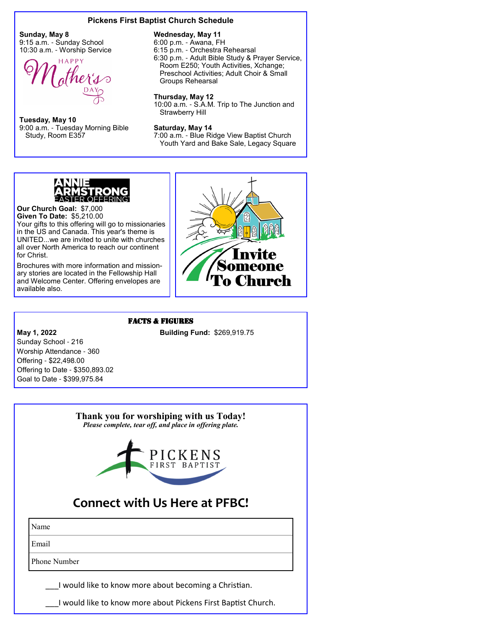#### **Pickens First Baptist Church Schedule**

**Sunday, May 8** 9:15 a.m. - Sunday School 10:30 a.m. - Worship Service



**Tuesday, May 10** 9:00 a.m. - Tuesday Morning Bible Study, Room E357

#### **Wednesday, May 11**

6:00 p.m. - Awana, FH 6:15 p.m. - Orchestra Rehearsal

6:30 p.m. - Adult Bible Study & Prayer Service, Room E250; Youth Activities, Xchange; Preschool Activities; Adult Choir & Small Groups Rehearsal

#### **Thursday, May 12**

10:00 a.m. - S.A.M. Trip to The Junction and Strawberry Hill

#### **Saturday, May 14**

7:00 a.m. - Blue Ridge View Baptist Church Youth Yard and Bake Sale, Legacy Square



**Our Church Goal:** \$7,000 **Given To Date:** \$5,210.00 Your gifts to this offering will go to missionaries in the US and Canada. This year's theme is UNITED...we are invited to unite with churches all over North America to reach our continent for Christ.

Brochures with more information and missionary stories are located in the Fellowship Hall and Welcome Center. Offering envelopes are available also.



#### FACTS & FIGURES

**May 1, 2022 Building Fund: \$269,919.75** 

Sunday School - 216 Worship Attendance - 360 Offering - \$22,498.00 Offering to Date - \$350,893.02 Goal to Date - \$399,975.84

# **Thank you for worshiping with us Today!** *Please complete, tear off, and place in offering plate.* ICKENS **Connect with Us Here at PFBC!**

Name Email

Phone Number

I would like to know more about becoming a Christian.

I would like to know more about Pickens First Baptist Church.